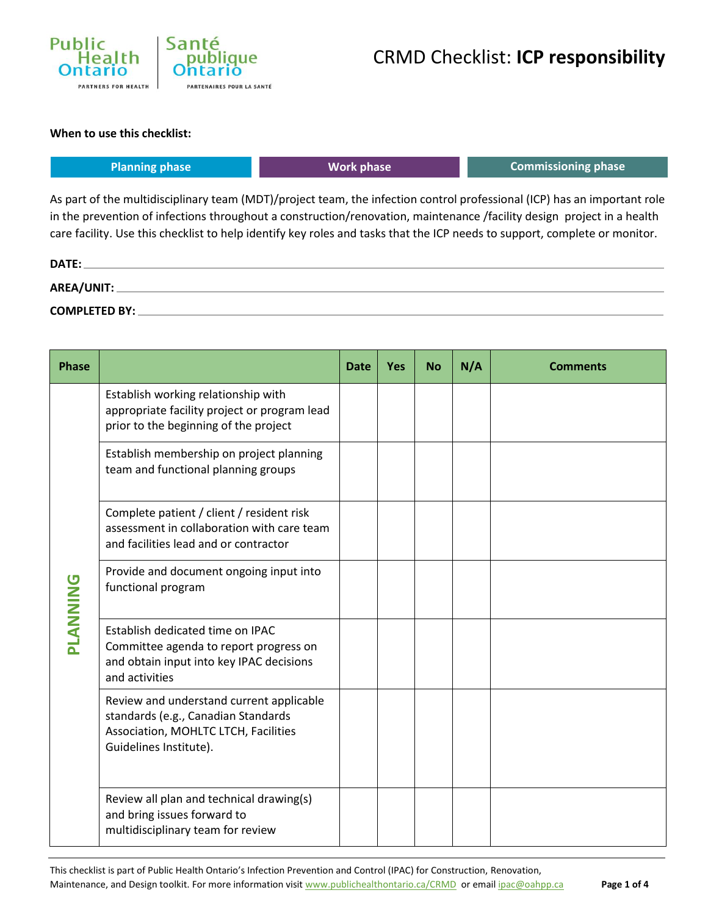

#### **When to use this checklist:**

| <b>Planning phase</b> | Work phase | Commissioning phase |  |  |  |
|-----------------------|------------|---------------------|--|--|--|
|                       |            |                     |  |  |  |

As part of the multidisciplinary team (MDT)/project team, the infection control professional (ICP) has an important role in the prevention of infections throughout a construction/renovation, maintenance /facility design project in a health care facility. Use this checklist to help identify key roles and tasks that the ICP needs to support, complete or monitor.

| DATE:                |  |
|----------------------|--|
| AREA/UNIT:           |  |
| <b>COMPLETED BY:</b> |  |

| <b>Phase</b>    |                                                                                                                                                   | <b>Date</b> | <b>Yes</b> | <b>No</b> | N/A | <b>Comments</b> |
|-----------------|---------------------------------------------------------------------------------------------------------------------------------------------------|-------------|------------|-----------|-----|-----------------|
| <b>PLANNING</b> | Establish working relationship with<br>appropriate facility project or program lead<br>prior to the beginning of the project                      |             |            |           |     |                 |
|                 | Establish membership on project planning<br>team and functional planning groups                                                                   |             |            |           |     |                 |
|                 | Complete patient / client / resident risk<br>assessment in collaboration with care team<br>and facilities lead and or contractor                  |             |            |           |     |                 |
|                 | Provide and document ongoing input into<br>functional program                                                                                     |             |            |           |     |                 |
|                 | Establish dedicated time on IPAC<br>Committee agenda to report progress on<br>and obtain input into key IPAC decisions<br>and activities          |             |            |           |     |                 |
|                 | Review and understand current applicable<br>standards (e.g., Canadian Standards<br>Association, MOHLTC LTCH, Facilities<br>Guidelines Institute). |             |            |           |     |                 |
|                 | Review all plan and technical drawing(s)<br>and bring issues forward to<br>multidisciplinary team for review                                      |             |            |           |     |                 |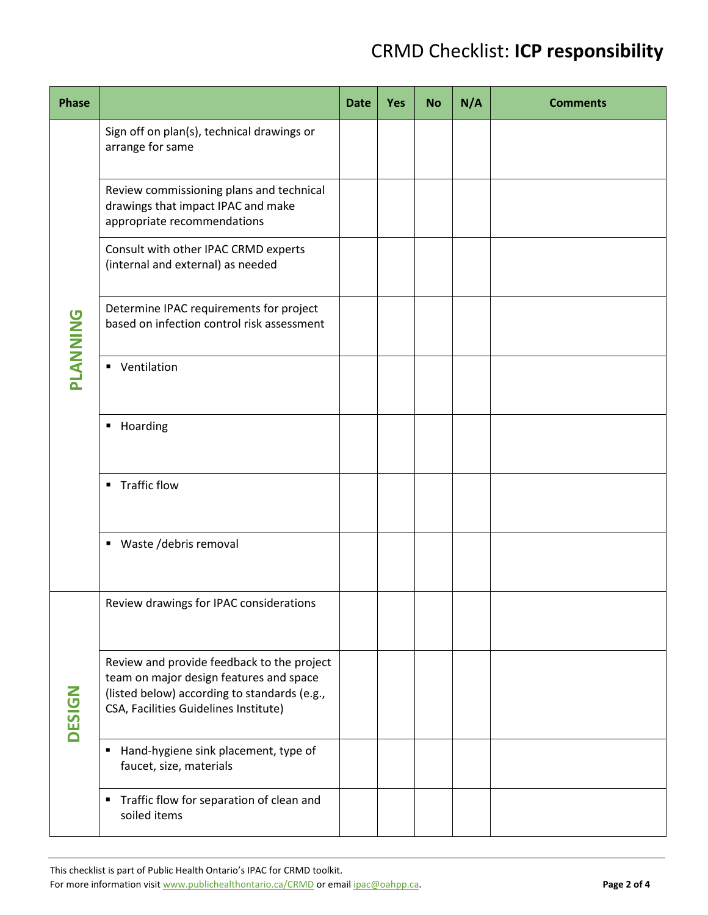| <b>Phase</b>    |                                                                                                                                                                                | <b>Date</b> | Yes | <b>No</b> | N/A | <b>Comments</b> |
|-----------------|--------------------------------------------------------------------------------------------------------------------------------------------------------------------------------|-------------|-----|-----------|-----|-----------------|
| <b>PLANNING</b> | Sign off on plan(s), technical drawings or<br>arrange for same                                                                                                                 |             |     |           |     |                 |
|                 | Review commissioning plans and technical<br>drawings that impact IPAC and make<br>appropriate recommendations                                                                  |             |     |           |     |                 |
|                 | Consult with other IPAC CRMD experts<br>(internal and external) as needed                                                                                                      |             |     |           |     |                 |
|                 | Determine IPAC requirements for project<br>based on infection control risk assessment                                                                                          |             |     |           |     |                 |
|                 | • Ventilation                                                                                                                                                                  |             |     |           |     |                 |
|                 | Hoarding<br>٠                                                                                                                                                                  |             |     |           |     |                 |
|                 | <b>Traffic flow</b><br>٠                                                                                                                                                       |             |     |           |     |                 |
|                 | Waste /debris removal<br>٠                                                                                                                                                     |             |     |           |     |                 |
| <b>DESIGN</b>   | Review drawings for IPAC considerations                                                                                                                                        |             |     |           |     |                 |
|                 | Review and provide feedback to the project<br>team on major design features and space<br>(listed below) according to standards (e.g.,<br>CSA, Facilities Guidelines Institute) |             |     |           |     |                 |
|                 | Hand-hygiene sink placement, type of<br>٠<br>faucet, size, materials                                                                                                           |             |     |           |     |                 |
|                 | Traffic flow for separation of clean and<br>٠<br>soiled items                                                                                                                  |             |     |           |     |                 |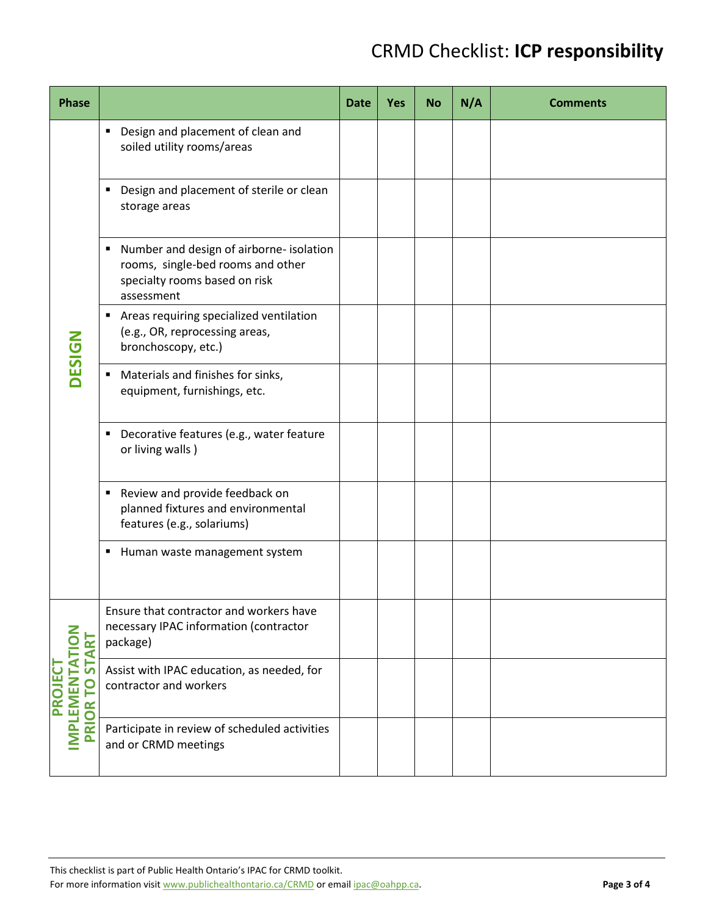| <b>Phase</b>                                                        |                                                                                                                                   | <b>Date</b> | <b>Yes</b> | <b>No</b> | N/A | <b>Comments</b> |
|---------------------------------------------------------------------|-----------------------------------------------------------------------------------------------------------------------------------|-------------|------------|-----------|-----|-----------------|
|                                                                     | Design and placement of clean and<br>٠<br>soiled utility rooms/areas                                                              |             |            |           |     |                 |
|                                                                     | Design and placement of sterile or clean<br>٠<br>storage areas                                                                    |             |            |           |     |                 |
|                                                                     | Number and design of airborne- isolation<br>٠<br>rooms, single-bed rooms and other<br>specialty rooms based on risk<br>assessment |             |            |           |     |                 |
| <b>DESIGN</b>                                                       | Areas requiring specialized ventilation<br>٠<br>(e.g., OR, reprocessing areas,<br>bronchoscopy, etc.)                             |             |            |           |     |                 |
|                                                                     | Materials and finishes for sinks,<br>٠<br>equipment, furnishings, etc.                                                            |             |            |           |     |                 |
|                                                                     | Decorative features (e.g., water feature<br>٠<br>or living walls)                                                                 |             |            |           |     |                 |
|                                                                     | Review and provide feedback on<br>٠<br>planned fixtures and environmental<br>features (e.g., solariums)                           |             |            |           |     |                 |
|                                                                     | Human waste management system<br>٠                                                                                                |             |            |           |     |                 |
| <b>IMPLEMENTATION</b><br><b>START</b><br><b>PROJECT</b><br>PRIOR TO | Ensure that contractor and workers have<br>necessary IPAC information (contractor<br>package)                                     |             |            |           |     |                 |
|                                                                     | Assist with IPAC education, as needed, for<br>contractor and workers                                                              |             |            |           |     |                 |
|                                                                     | Participate in review of scheduled activities<br>and or CRMD meetings                                                             |             |            |           |     |                 |